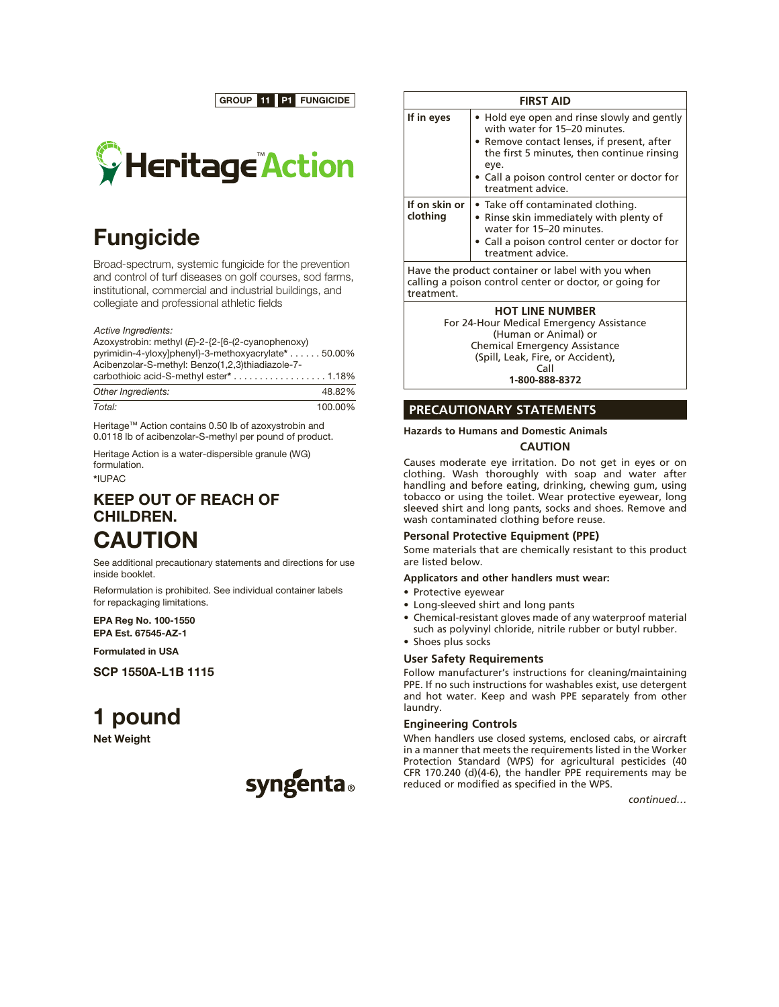GROUP 11 P1 FUNGICIDE



## Fungicide

Broad-spectrum, systemic fungicide for the prevention and control of turf diseases on golf courses, sod farms, institutional, commercial and industrial buildings, and collegiate and professional athletic fields

*Active Ingredients:*

Azoxystrobin: methyl (*E*)-2-{2-[6-(2-cyanophenoxy) pyrimidin-4-yloxy]phenyl}-3-methoxyacrylate\* . . . . . . 50.00% Acibenzolar-S-methyl: Benzo(1,2,3)thiadiazole-7-  $\alpha$  arbothioic acid-S-methyl ester\*  $\ldots \ldots \ldots \ldots \ldots \ldots 1.18\%$ 

| Other Ingredients: | 48.82%  |
|--------------------|---------|
| Total:             | 100.00% |

Heritage™ Action contains 0.50 lb of azoxystrobin and 0.0118 lb of acibenzolar-S-methyl per pound of product.

Heritage Action is a water-dispersible granule (WG) formulation.

\*IUPAC

## KEEP OUT OF REACH OF CHILDREN. CAUTION

See additional precautionary statements and directions for use inside booklet.

Reformulation is prohibited. See individual container labels for repackaging limitations.

EPA Reg No. 100-1550 EPA Est. 67545-AZ-1

Formulated in USA

SCP 1550A-L1B 1115

# 1 pound

Net Weight



| <b>FIRST AID</b>                                                                                                           |                                                                                                                                                                                                                                                       |  |  |  |
|----------------------------------------------------------------------------------------------------------------------------|-------------------------------------------------------------------------------------------------------------------------------------------------------------------------------------------------------------------------------------------------------|--|--|--|
| If in eyes                                                                                                                 | • Hold eye open and rinse slowly and gently<br>with water for 15-20 minutes.<br>• Remove contact lenses, if present, after<br>the first 5 minutes, then continue rinsing<br>eye.<br>• Call a poison control center or doctor for<br>treatment advice. |  |  |  |
| If on skin or<br>clothing                                                                                                  | • Take off contaminated clothing.<br>• Rinse skin immediately with plenty of<br>water for 15-20 minutes.<br>• Call a poison control center or doctor for<br>treatment advice.                                                                         |  |  |  |
| Have the product container or label with you when<br>calling a poison control center or doctor, or going for<br>treatment. |                                                                                                                                                                                                                                                       |  |  |  |

**HOT LINE NUMBER** For 24-Hour Medical Emergency Assistance (Human or Animal) or Chemical Emergency Assistance (Spill, Leak, Fire, or Accident), Call **1-800-888-8372**

### **PRECAUTIONARY STATEMENTS**

#### **Hazards to Humans and Domestic Animals**

#### **CAUTION**

Causes moderate eye irritation. Do not get in eyes or on clothing. Wash thoroughly with soap and water after handling and before eating, drinking, chewing gum, using tobacco or using the toilet. Wear protective eyewear, long sleeved shirt and long pants, socks and shoes. Remove and wash contaminated clothing before reuse.

#### **Personal Protective Equipment (PPE)**

Some materials that are chemically resistant to this product are listed below.

#### **Applicators and other handlers must wear:**

- • Protective eyewear
- Long-sleeved shirt and long pants
- Chemical-resistant gloves made of any waterproof material such as polyvinyl chloride, nitrile rubber or butyl rubber.
- Shoes plus socks

## **User Safety Requirements**

Follow manufacturer's instructions for cleaning/maintaining PPE. If no such instructions for washables exist, use detergent and hot water. Keep and wash PPE separately from other laundry.

#### **Engineering Controls**

When handlers use closed systems, enclosed cabs, or aircraft in a manner that meets the requirements listed in the Worker Protection Standard (WPS) for agricultural pesticides (40 CFR 170.240 (d)(4-6), the handler PPE requirements may be reduced or modified as specified in the WPS.

*continued…*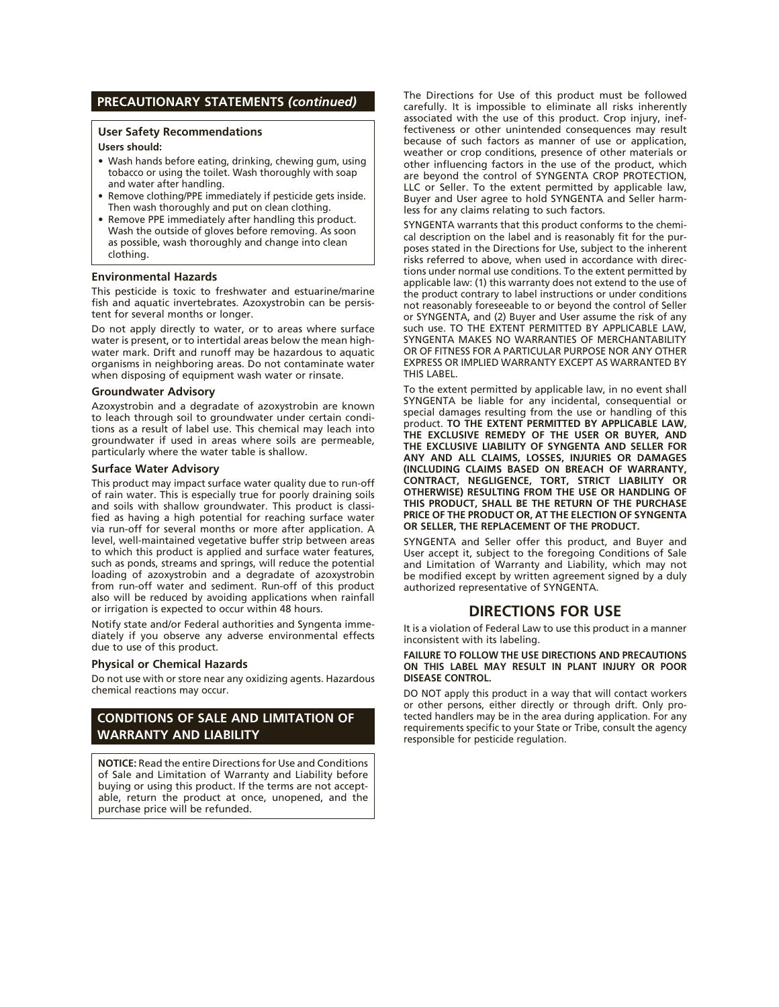## **PRECAUTIONARY STATEMENTS** *(continued)*

#### **User Safety Recommendations Users should:**

- Wash hands before eating, drinking, chewing gum, using tobacco or using the toilet. Wash thoroughly with soap and water after handling.
- Remove clothing/PPE immediately if pesticide gets inside. Then wash thoroughly and put on clean clothing.
- Remove PPE immediately after handling this product. Wash the outside of gloves before removing. As soon as possible, wash thoroughly and change into clean clothing.

#### **Environmental Hazards**

This pesticide is toxic to freshwater and estuarine/marine fish and aquatic invertebrates. Azoxystrobin can be persistent for several months or longer.

Do not apply directly to water, or to areas where surface water is present, or to intertidal areas below the mean highwater mark. Drift and runoff may be hazardous to aquatic organisms in neighboring areas. Do not contaminate water when disposing of equipment wash water or rinsate.

#### **Groundwater Advisory**

Azoxystrobin and a degradate of azoxystrobin are known to leach through soil to groundwater under certain conditions as a result of label use. This chemical may leach into groundwater if used in areas where soils are permeable, particularly where the water table is shallow.

#### **Surface Water Advisory**

This product may impact surface water quality due to run-off of rain water. This is especially true for poorly draining soils and soils with shallow groundwater. This product is classified as having a high potential for reaching surface water via run-off for several months or more after application. A level, well-maintained vegetative buffer strip between areas to which this product is applied and surface water features, such as ponds, streams and springs, will reduce the potential loading of azoxystrobin and a degradate of azoxystrobin from run-off water and sediment. Run-off of this product also will be reduced by avoiding applications when rainfall or irrigation is expected to occur within 48 hours.

Notify state and/or Federal authorities and Syngenta immediately if you observe any adverse environmental effects due to use of this product.

#### **Physical or Chemical Hazards**

Do not use with or store near any oxidizing agents. Hazardous chemical reactions may occur.

## **CONDITIONS OF SALE AND LIMITATION OF WARRANTY AND LIABILITY**

**NOTICE:** Read the entire Directions for Use and Conditions of Sale and Limitation of Warranty and Liability before buying or using this product. If the terms are not acceptable, return the product at once, unopened, and the purchase price will be refunded.

The Directions for Use of this product must be followed carefully. It is impossible to eliminate all risks inherently associated with the use of this product. Crop injury, ineffectiveness or other unintended consequences may result because of such factors as manner of use or application, weather or crop conditions, presence of other materials or other influencing factors in the use of the product, which are beyond the control of SYNGENTA CROP PROTECTION, LLC or Seller. To the extent permitted by applicable law, Buyer and User agree to hold SYNGENTA and Seller harmless for any claims relating to such factors.

SYNGENTA warrants that this product conforms to the chemical description on the label and is reasonably fit for the purposes stated in the Directions for Use, subject to the inherent risks referred to above, when used in accordance with directions under normal use conditions. To the extent permitted by applicable law: (1) this warranty does not extend to the use of the product contrary to label instructions or under conditions not reasonably foreseeable to or beyond the control of Seller or SYNGENTA, and (2) Buyer and User assume the risk of any such use. TO THE EXTENT PERMITTED BY APPLICABLE LAW, SYNGENTA MAKES NO WARRANTIES OF MERCHANTABILITY OR OF FITNESS FOR A PARTICULAR PURPOSE NOR ANY OTHER EXPRESS OR IMPLIED WARRANTY EXCEPT AS WARRANTED BY THIS LABEL.

To the extent permitted by applicable law, in no event shall SYNGENTA be liable for any incidental, consequential or special damages resulting from the use or handling of this product. **TO THE EXTENT PERMITTED BY APPLICABLE LAW, THE EXCLUSIVE REMEDY OF THE USER OR BUYER, AND THE EXCLUSIVE LIABILITY OF SYNGENTA AND SELLER FOR ANY AND ALL CLAIMS, LOSSES, INJURIES OR DAMAGES (INCLUDING CLAIMS BASED ON BREACH OF WARRANTY, CONTRACT, NEGLIGENCE, TORT, STRICT LIABILITY OR OTHERWISE) RESULTING FROM THE USE OR HANDLING OF THIS PRODUCT, SHALL BE THE RETURN OF THE PURCHASE PRICE OF THE PRODUCT OR, AT THE ELECTION OF SYNGENTA OR SELLER, THE REPLACEMENT OF THE PRODUCT.**

SYNGENTA and Seller offer this product, and Buyer and User accept it, subject to the foregoing Conditions of Sale and Limitation of Warranty and Liability, which may not be modified except by written agreement signed by a duly authorized representative of SYNGENTA.

## **DIRECTIONS FOR USE**

It is a violation of Federal Law to use this product in a manner inconsistent with its labeling.

#### **FAILURE TO FOLLOW THE USE DIRECTIONS AND PRECAUTIONS ON THIS LABEL MAY RESULT IN PLANT INJURY OR POOR DISEASE CONTROL.**

DO NOT apply this product in a way that will contact workers or other persons, either directly or through drift. Only protected handlers may be in the area during application. For any requirements specific to your State or Tribe, consult the agency responsible for pesticide regulation.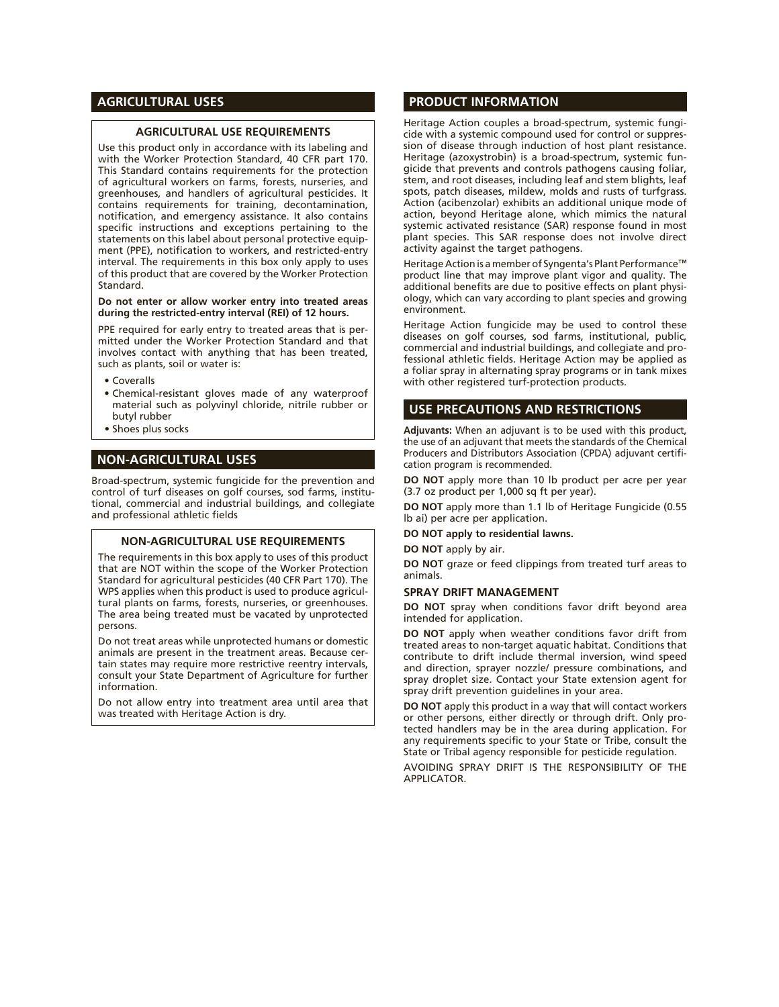## **AGRICULTURAL USES**

#### **AGRICULTURAL USE REQUIREMENTS**

Use this product only in accordance with its labeling and with the Worker Protection Standard, 40 CFR part 170. This Standard contains requirements for the protection of agricultural workers on farms, forests, nurseries, and greenhouses, and handlers of agricultural pesticides. It contains requirements for training, decontamination, notification, and emergency assistance. It also contains specific instructions and exceptions pertaining to the statements on this label about personal protective equipment (PPE), notification to workers, and restricted-entry interval. The requirements in this box only apply to uses of this product that are covered by the Worker Protection Standard.

#### **Do not enter or allow worker entry into treated areas during the restricted-entry interval (REI) of 12 hours.**

PPE required for early entry to treated areas that is permitted under the Worker Protection Standard and that involves contact with anything that has been treated, such as plants, soil or water is:

- • Coveralls
- • Chemical-resistant gloves made of any waterproof material such as polyvinyl chloride, nitrile rubber or butyl rubber
- Shoes plus socks

## **NON-AGRICULTURAL USES**

Broad-spectrum, systemic fungicide for the prevention and control of turf diseases on golf courses, sod farms, institutional, commercial and industrial buildings, and collegiate and professional athletic fields

#### **NON-AGRICULTURAL USE REQUIREMENTS**

The requirements in this box apply to uses of this product that are NOT within the scope of the Worker Protection Standard for agricultural pesticides (40 CFR Part 170). The WPS applies when this product is used to produce agricultural plants on farms, forests, nurseries, or greenhouses. The area being treated must be vacated by unprotected persons.

Do not treat areas while unprotected humans or domestic animals are present in the treatment areas. Because certain states may require more restrictive reentry intervals, consult your State Department of Agriculture for further information.

Do not allow entry into treatment area until area that was treated with Heritage Action is dry.

## **PRODUCT INFORMATION**

Heritage Action couples a broad-spectrum, systemic fungicide with a systemic compound used for control or suppression of disease through induction of host plant resistance. Heritage (azoxystrobin) is a broad-spectrum, systemic fungicide that prevents and controls pathogens causing foliar, stem, and root diseases, including leaf and stem blights, leaf spots, patch diseases, mildew, molds and rusts of turfgrass. Action (acibenzolar) exhibits an additional unique mode of action, beyond Heritage alone, which mimics the natural systemic activated resistance (SAR) response found in most plant species. This SAR response does not involve direct activity against the target pathogens.

Heritage Action is a member of Syngenta's Plant Performance™ product line that may improve plant vigor and quality. The additional benefits are due to positive effects on plant physiology, which can vary according to plant species and growing environment.

Heritage Action fungicide may be used to control these diseases on golf courses, sod farms, institutional, public, commercial and industrial buildings, and collegiate and professional athletic fields. Heritage Action may be applied as a foliar spray in alternating spray programs or in tank mixes with other registered turf-protection products.

#### **USE PRECAUTIONS AND RESTRICTIONS**

**Adjuvants:** When an adjuvant is to be used with this product, the use of an adjuvant that meets the standards of the Chemical Producers and Distributors Association (CPDA) adjuvant certification program is recommended.

**DO NOT** apply more than 10 lb product per acre per year (3.7 oz product per 1,000 sq ft per year).

**DO NOT** apply more than 1.1 lb of Heritage Fungicide (0.55 lb ai) per acre per application.

**DO NOT apply to residential lawns.**

**DO NOT** apply by air.

**DO NOT** graze or feed clippings from treated turf areas to animals.

#### **SPRAY DRIFT MANAGEMENT**

**DO NOT** spray when conditions favor drift beyond area intended for application.

**DO NOT** apply when weather conditions favor drift from treated areas to non-target aquatic habitat. Conditions that contribute to drift include thermal inversion, wind speed and direction, sprayer nozzle/ pressure combinations, and spray droplet size. Contact your State extension agent for spray drift prevention guidelines in your area.

**DO NOT** apply this product in a way that will contact workers or other persons, either directly or through drift. Only protected handlers may be in the area during application. For any requirements specific to your State or Tribe, consult the State or Tribal agency responsible for pesticide regulation.

AVOIDING SPRAY DRIFT IS THE RESPONSIBILITY OF THE APPLICATOR.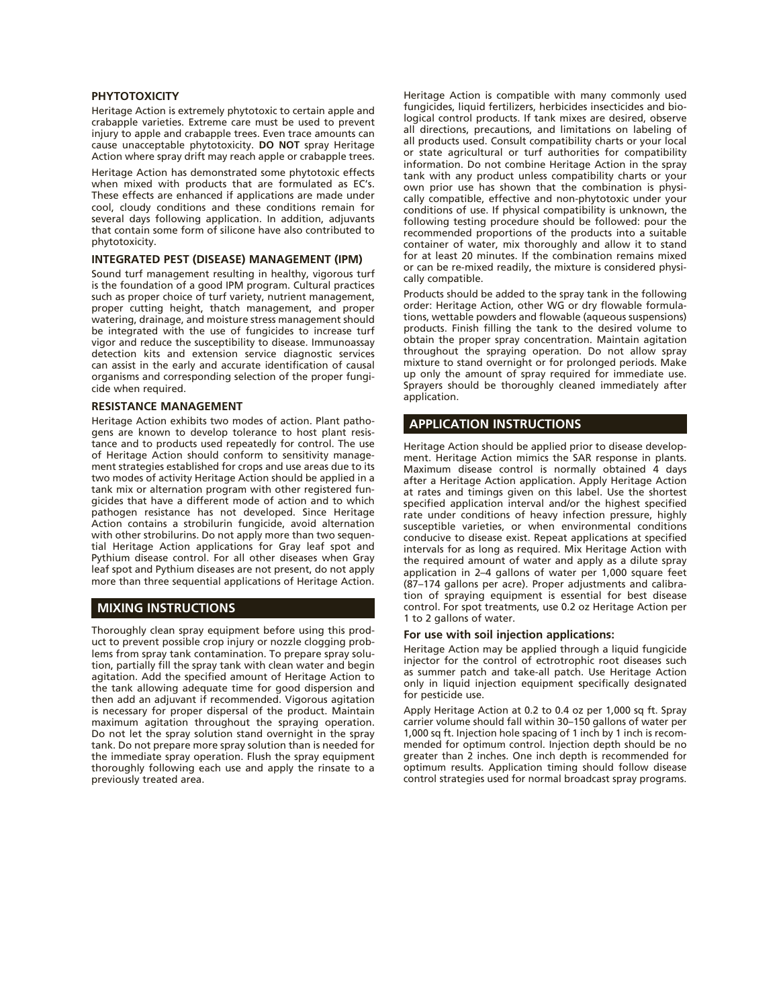#### **PHYTOTOXICITY**

Heritage Action is extremely phytotoxic to certain apple and crabapple varieties. Extreme care must be used to prevent injury to apple and crabapple trees. Even trace amounts can cause unacceptable phytotoxicity. **DO NOT** spray Heritage Action where spray drift may reach apple or crabapple trees.

Heritage Action has demonstrated some phytotoxic effects when mixed with products that are formulated as EC's. These effects are enhanced if applications are made under cool, cloudy conditions and these conditions remain for several days following application. In addition, adjuvants that contain some form of silicone have also contributed to phytotoxicity.

#### **INTEGRATED PEST (DISEASE) MANAGEMENT (IPM)**

Sound turf management resulting in healthy, vigorous turf is the foundation of a good IPM program. Cultural practices such as proper choice of turf variety, nutrient management, proper cutting height, thatch management, and proper watering, drainage, and moisture stress management should be integrated with the use of fungicides to increase turf vigor and reduce the susceptibility to disease. Immunoassay detection kits and extension service diagnostic services can assist in the early and accurate identification of causal organisms and corresponding selection of the proper fungicide when required.

#### **RESISTANCE MANAGEMENT**

Heritage Action exhibits two modes of action. Plant pathogens are known to develop tolerance to host plant resistance and to products used repeatedly for control. The use of Heritage Action should conform to sensitivity management strategies established for crops and use areas due to its two modes of activity Heritage Action should be applied in a tank mix or alternation program with other registered fungicides that have a different mode of action and to which pathogen resistance has not developed. Since Heritage Action contains a strobilurin fungicide, avoid alternation with other strobilurins. Do not apply more than two sequential Heritage Action applications for Gray leaf spot and Pythium disease control. For all other diseases when Gray leaf spot and Pythium diseases are not present, do not apply more than three sequential applications of Heritage Action.

#### **MIXING INSTRUCTIONS**

Thoroughly clean spray equipment before using this product to prevent possible crop injury or nozzle clogging problems from spray tank contamination. To prepare spray solution, partially fill the spray tank with clean water and begin agitation. Add the specified amount of Heritage Action to the tank allowing adequate time for good dispersion and then add an adjuvant if recommended. Vigorous agitation is necessary for proper dispersal of the product. Maintain maximum agitation throughout the spraying operation. Do not let the spray solution stand overnight in the spray tank. Do not prepare more spray solution than is needed for the immediate spray operation. Flush the spray equipment thoroughly following each use and apply the rinsate to a previously treated area.

Heritage Action is compatible with many commonly used fungicides, liquid fertilizers, herbicides insecticides and biological control products. If tank mixes are desired, observe all directions, precautions, and limitations on labeling of all products used. Consult compatibility charts or your local or state agricultural or turf authorities for compatibility information. Do not combine Heritage Action in the spray tank with any product unless compatibility charts or your own prior use has shown that the combination is physically compatible, effective and non-phytotoxic under your conditions of use. If physical compatibility is unknown, the following testing procedure should be followed: pour the recommended proportions of the products into a suitable container of water, mix thoroughly and allow it to stand for at least 20 minutes. If the combination remains mixed or can be re-mixed readily, the mixture is considered physically compatible.

Products should be added to the spray tank in the following order: Heritage Action, other WG or dry flowable formulations, wettable powders and flowable (aqueous suspensions) products. Finish filling the tank to the desired volume to obtain the proper spray concentration. Maintain agitation throughout the spraying operation. Do not allow spray mixture to stand overnight or for prolonged periods. Make up only the amount of spray required for immediate use. Sprayers should be thoroughly cleaned immediately after application.

#### **APPLICATION INSTRUCTIONS**

Heritage Action should be applied prior to disease development. Heritage Action mimics the SAR response in plants. Maximum disease control is normally obtained 4 days after a Heritage Action application. Apply Heritage Action at rates and timings given on this label. Use the shortest specified application interval and/or the highest specified rate under conditions of heavy infection pressure, highly susceptible varieties, or when environmental conditions conducive to disease exist. Repeat applications at specified intervals for as long as required. Mix Heritage Action with the required amount of water and apply as a dilute spray application in 2–4 gallons of water per 1,000 square feet (87–174 gallons per acre). Proper adjustments and calibration of spraying equipment is essential for best disease control. For spot treatments, use 0.2 oz Heritage Action per 1 to 2 gallons of water.

#### **For use with soil injection applications:**

Heritage Action may be applied through a liquid fungicide injector for the control of ectrotrophic root diseases such as summer patch and take-all patch. Use Heritage Action only in liquid injection equipment specifically designated for pesticide use.

Apply Heritage Action at 0.2 to 0.4 oz per 1,000 sq ft. Spray carrier volume should fall within 30–150 gallons of water per 1,000 sq ft. Injection hole spacing of 1 inch by 1 inch is recommended for optimum control. Injection depth should be no greater than 2 inches. One inch depth is recommended for optimum results. Application timing should follow disease control strategies used for normal broadcast spray programs.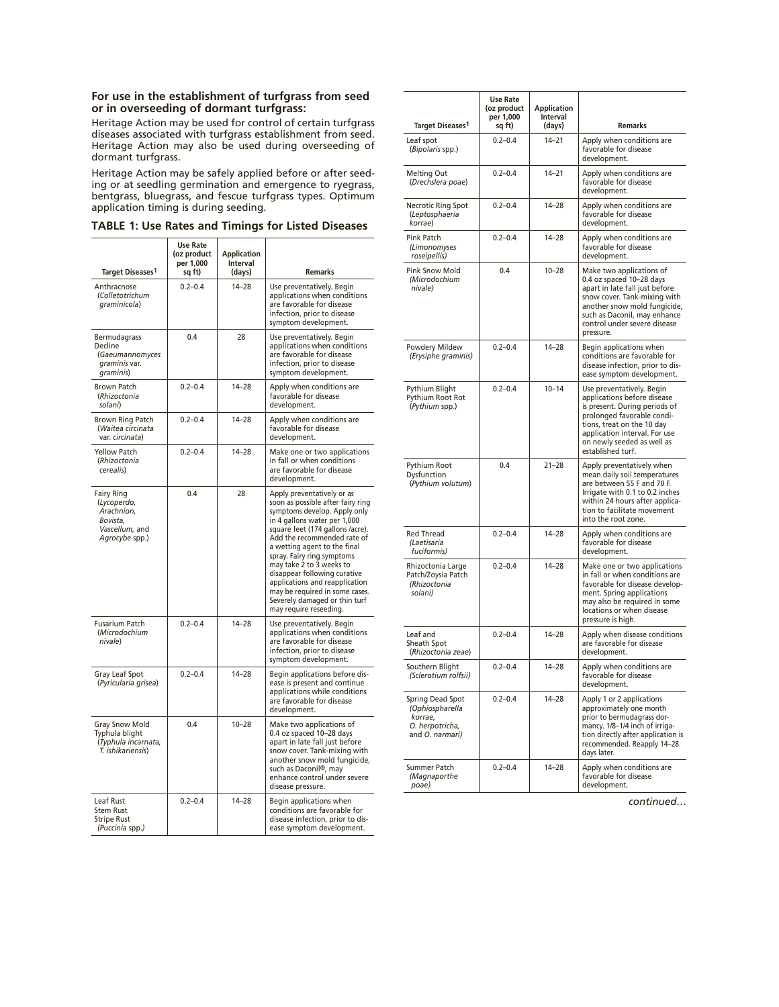### **For use in the establishment of turfgrass from seed or in overseeding of dormant turfgrass:**

Heritage Action may be used for control of certain turfgrass diseases associated with turfgrass establishment from seed. Heritage Action may also be used during overseeding of dormant turfgrass.

Heritage Action may be safely applied before or after seeding or at seedling germination and emergence to ryegrass, bentgrass, bluegrass, and fescue turfgrass types. Optimum application timing is during seeding.

**TABLE 1: Use Rates and Timings for Listed Diseases**

| <b>Target Diseases1</b>                                                                        | <b>Use Rate</b><br>(oz product<br>per 1,000<br>sq ft) | <b>Application</b><br>Interval<br>(days) | <b>Remarks</b>                                                                                                                                                                                                                                                                                                                                                                                                                                              |
|------------------------------------------------------------------------------------------------|-------------------------------------------------------|------------------------------------------|-------------------------------------------------------------------------------------------------------------------------------------------------------------------------------------------------------------------------------------------------------------------------------------------------------------------------------------------------------------------------------------------------------------------------------------------------------------|
| Anthracnose<br>(Colletotrichum<br>graminicola)                                                 | $0.2 - 0.4$                                           | $14 - 28$                                | Use preventatively. Begin<br>applications when conditions<br>are favorable for disease<br>infection, prior to disease<br>symptom development.                                                                                                                                                                                                                                                                                                               |
| Bermudagrass<br>Decline<br>(Gaeumannomyces<br>graminis var.<br>graminis)                       | 0.4                                                   | 28                                       | Use preventatively. Begin<br>applications when conditions<br>are favorable for disease<br>infection, prior to disease<br>symptom development.                                                                                                                                                                                                                                                                                                               |
| <b>Brown Patch</b><br>(Rhizoctonia<br>solani)                                                  | $0.2 - 0.4$                                           | $14 - 28$                                | Apply when conditions are<br>favorable for disease<br>development.                                                                                                                                                                                                                                                                                                                                                                                          |
| Brown Ring Patch<br>(Waitea circinata<br>var. circinata)                                       | $0.2 - 0.4$                                           | $14 - 28$                                | Apply when conditions are<br>favorable for disease<br>development.                                                                                                                                                                                                                                                                                                                                                                                          |
| <b>Yellow Patch</b><br>(Rhizoctonia<br>cerealis)                                               | $0.2 - 0.4$                                           | $14 - 28$                                | Make one or two applications<br>in fall or when conditions<br>are favorable for disease<br>development.                                                                                                                                                                                                                                                                                                                                                     |
| <b>Fairy Ring</b><br>(Lycoperdo,<br>Arachnion,<br>Bovista,<br>Vascellum, and<br>Agrocybe spp.) | 0.4                                                   | 28                                       | Apply preventatively or as<br>soon as possible after fairy ring<br>symptoms develop. Apply only<br>in 4 gallons water per 1,000<br>square feet (174 gallons /acre).<br>Add the recommended rate of<br>a wetting agent to the final<br>spray. Fairy ring symptoms<br>may take 2 to 3 weeks to<br>disappear following curative<br>applications and reapplication<br>may be required in some cases.<br>Severely damaged or thin turf<br>may require reseeding. |
| <b>Fusarium Patch</b><br>(Microdochium<br>nivale)                                              | $0.2 - 0.4$                                           | $14 - 28$                                | Use preventatively. Begin<br>applications when conditions<br>are favorable for disease<br>infection, prior to disease<br>symptom development.                                                                                                                                                                                                                                                                                                               |
| Gray Leaf Spot<br>(Pyricularia grisea)                                                         | $0.2 - 0.4$                                           | $14 - 28$                                | Begin applications before dis-<br>ease is present and continue<br>applications while conditions<br>are favorable for disease<br>development.                                                                                                                                                                                                                                                                                                                |
| Gray Snow Mold<br>Typhula blight<br>(Typhula incarnata,<br>T. ishikariensis)                   | 0.4                                                   | $10 - 28$                                | Make two applications of<br>0.4 oz spaced 10-28 days<br>apart in late fall just before<br>snow cover. Tank-mixing with<br>another snow mold fungicide,<br>such as Daconil®, may<br>enhance control under severe<br>disease pressure.                                                                                                                                                                                                                        |
| Leaf Rust<br><b>Stem Rust</b><br><b>Stripe Rust</b><br>(Puccinia spp.)                         | $0.2 - 0.4$                                           | $14 - 28$                                | Begin applications when<br>conditions are favorable for<br>disease infection, prior to dis-<br>ease symptom development.                                                                                                                                                                                                                                                                                                                                    |

| Target Diseases <sup>1</sup>                                                         | <b>Use Rate</b><br>(oz product<br>per 1,000<br>sq ft) | <b>Application</b><br><b>Interval</b><br>(days) | <b>Remarks</b>                                                                                                                                                                                                                            |
|--------------------------------------------------------------------------------------|-------------------------------------------------------|-------------------------------------------------|-------------------------------------------------------------------------------------------------------------------------------------------------------------------------------------------------------------------------------------------|
| Leaf spot<br>(Bipolaris spp.)                                                        | $0.2 - 0.4$                                           | $14 - 21$                                       | Apply when conditions are<br>favorable for disease<br>development.                                                                                                                                                                        |
| <b>Melting Out</b><br>(Drechslera poae)                                              | $0.2 - 0.4$                                           | $14 - 21$                                       | Apply when conditions are<br>favorable for disease<br>development.                                                                                                                                                                        |
| Necrotic Ring Spot<br>(Leptosphaeria<br>korrae)                                      | $0.2 - 0.4$                                           | $14 - 28$                                       | Apply when conditions are<br>favorable for disease<br>development.                                                                                                                                                                        |
| Pink Patch<br>(Limonomyses<br>roseipellis)                                           | $0.2 - 0.4$                                           | $14 - 28$                                       | Apply when conditions are<br>favorable for disease<br>development.                                                                                                                                                                        |
| <b>Pink Snow Mold</b><br>(Microdochium<br>nivale)                                    | 0.4                                                   | $10 - 28$                                       | Make two applications of<br>0.4 oz spaced 10-28 days<br>apart in late fall just before<br>snow cover. Tank-mixing with<br>another snow mold fungicide,<br>such as Daconil, may enhance<br>control under severe disease<br>pressure.       |
| Powdery Mildew<br>(Erysiphe graminis)                                                | $0.2 - 0.4$                                           | $14 - 28$                                       | Begin applications when<br>conditions are favorable for<br>disease infection, prior to dis-<br>ease symptom development.                                                                                                                  |
| Pythium Blight<br>Pythium Root Rot<br>(Pythium spp.)                                 | $0.2 - 0.4$                                           | $10 - 14$                                       | Use preventatively. Begin<br>applications before disease<br>is present. During periods of<br>prolonged favorable condi-<br>tions, treat on the 10 day<br>application interval. For use<br>on newly seeded as well as<br>established turf. |
| Pythium Root<br>Dysfunction<br>(Pythium volutum)                                     | 0.4                                                   | $21 - 28$                                       | Apply preventatively when<br>mean daily soil temperatures<br>are between 55 F and 70 F.<br>Irrigate with 0.1 to 0.2 inches<br>within 24 hours after applica-<br>tion to facilitate movement<br>into the root zone.                        |
| <b>Red Thread</b><br>(Laetisaria<br>fuciformis)                                      | $0.2 - 0.4$                                           | $14 - 28$                                       | Apply when conditions are<br>favorable for disease<br>development.                                                                                                                                                                        |
| Rhizoctonia Large<br>Patch/Zoysia Patch<br>(Rhizoctonia<br>solani)                   | $0.2 - 0.4$                                           | $14 - 28$                                       | Make one or two applications<br>in fall or when conditions are<br>favorable for disease develop-<br>ment. Spring applications<br>may also be required in some<br>locations or when disease<br>pressure is high.                           |
| Leaf and<br>Sheath Spot<br>(Rhizoctonia zeae)                                        | $0.2 - 0.4$                                           | $14 - 28$                                       | Apply when disease conditions<br>are favorable for disease<br>development.                                                                                                                                                                |
| Southern Blight<br>(Sclerotium rolfsii)                                              | $0.2 - 0.4$                                           | 14–28                                           | Apply when conditions are<br>favorable for disease<br>development.                                                                                                                                                                        |
| Spring Dead Spot<br>(Ophiospharella<br>korrae,<br>O. herpotricha,<br>and O. narmari) | $0.2 - 0.4$                                           | $14 - 28$                                       | Apply 1 or 2 applications<br>approximately one month<br>prior to bermudagrass dor-<br>mancy. 1/8-1/4 inch of irriga-<br>tion directly after application is<br>recommended. Reapply 14-28<br>days later.                                   |
| Summer Patch<br>(Magnaporthe<br>poae)                                                | $0.2 - 0.4$                                           | 14-28                                           | Apply when conditions are<br>favorable for disease<br>development.                                                                                                                                                                        |

*continued…*